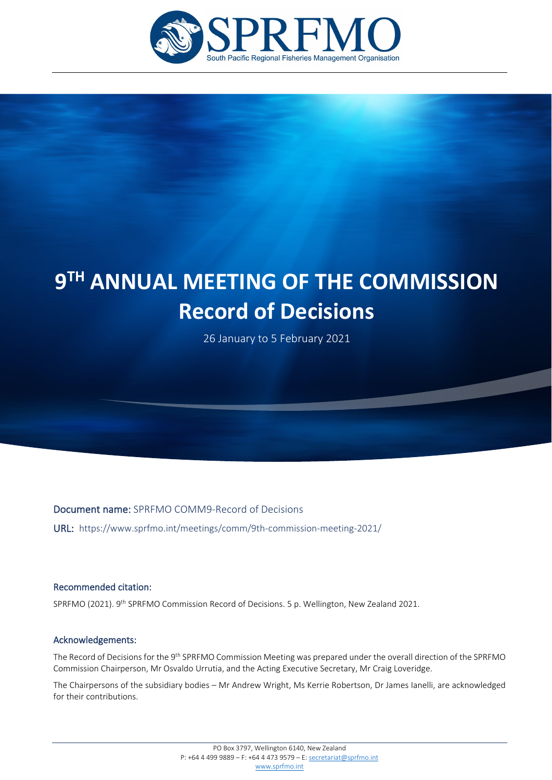

# **9TH ANNUAL MEETING OF THE COMMISSION Record of Decisions**

26 January to 5 February 2021

Document name: SPRFMO COMM9-Record of Decisions

URL: https://www.sprfmo.int/meetings/comm/9th-commission-meeting-2021/

#### Recommended citation:

j

SPRFMO (2021). 9<sup>th</sup> SPRFMO Commission Record of Decisions. 5 p. Wellington, New Zealand 2021.

#### Acknowledgements:

The Record of Decisions for the 9<sup>th</sup> SPRFMO Commission Meeting was prepared under the overall direction of the SPRFMO Commission Chairperson, Mr Osvaldo Urrutia, and the Acting Executive Secretary, Mr Craig Loveridge.

The Chairpersons of the subsidiary bodies – Mr Andrew Wright, Ms Kerrie Robertson, Dr James Ianelli, are acknowledged for their contributions.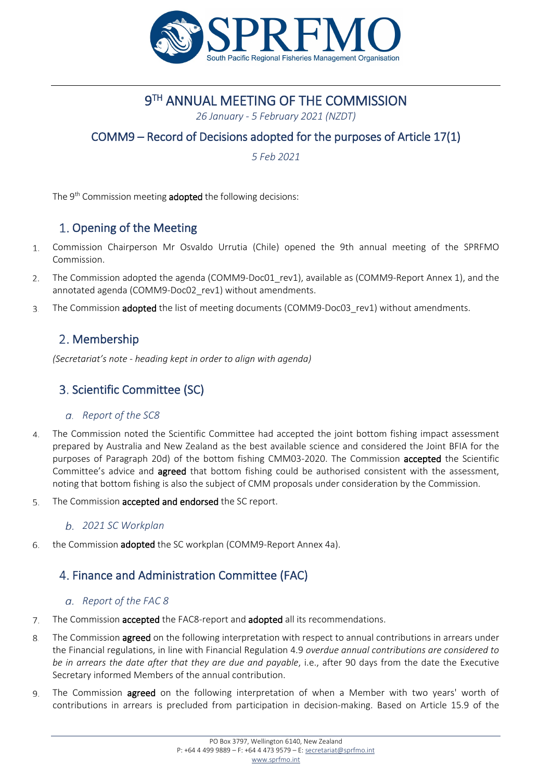

# **9TH ANNUAL MEETING OF THE COMMISSION**

*26 January - 5 February 2021 (NZDT)*

# COMM9 – Record of Decisions adopted for the purposes of Article 17(1)

*5 Feb 2021*

The 9<sup>th</sup> Commission meeting **adopted** the following decisions:

# 1. Opening of the Meeting

- Commission Chairperson Mr Osvaldo Urrutia (Chile) opened the 9th annual meeting of the SPRFMO  $1.$ Commission.
- $\mathcal{L}$ The Commission adopted the agenda (COMM9-Doc01\_rev1), available as (COMM9-Report Annex 1), and the annotated agenda (COMM9-Doc02\_rev1) without amendments.
- The Commission **adopted** the list of meeting documents (COMM9-Doc03 rev1) without amendments.  $\mathcal{R}$

## 2. Membership

*(Secretariat's note - heading kept in order to align with agenda)*

## Scientific Committee (SC)

## *Report of the SC8*

- The Commission noted the Scientific Committee had accepted the joint bottom fishing impact assessment  $\Delta$ prepared by Australia and New Zealand as the best available science and considered the Joint BFIA for the purposes of Paragraph 20d) of the bottom fishing CMM03-2020. The Commission accepted the Scientific Committee's advice and **agreed** that bottom fishing could be authorised consistent with the assessment, noting that bottom fishing is also the subject of CMM proposals under consideration by the Commission.
- The Commission accepted and endorsed the SC report. 5.

## *2021 SC Workplan*

the Commission adopted the SC workplan (COMM9-Report Annex 4a). 6.

# 4. Finance and Administration Committee (FAC)

## *Report of the FAC 8*

- The Commission accepted the FAC8-report and adopted all its recommendations. 7.
- The Commission **agreed** on the following interpretation with respect to annual contributions in arrears under 8. the Financial regulations, in line with Financial Regulation 4.9 *overdue annual contributions are considered to be in arrears the date after that they are due and payable*, i.e., after 90 days from the date the Executive Secretary informed Members of the annual contribution.
- The Commission agreed on the following interpretation of when a Member with two years' worth of  $\mathsf{q}$ contributions in arrears is precluded from participation in decision-making. Based on Article 15.9 of the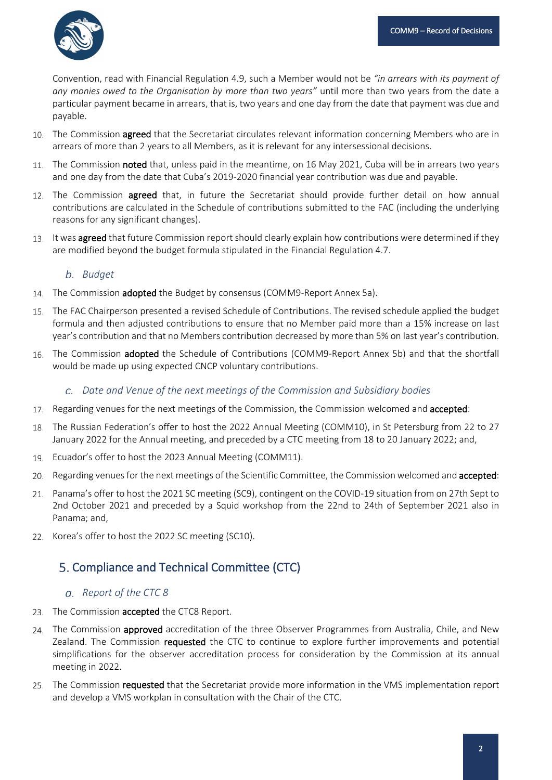Convention, read with Financial Regulation 4.9, such a Member would not be *"in arrears with its payment of any monies owed to the Organisation by more than two years"* until more than two years from the date a particular payment became in arrears, that is, two years and one day from the date that payment was due and payable.

- 10. The Commission agreed that the Secretariat circulates relevant information concerning Members who are in arrears of more than 2 years to all Members, as it is relevant for any intersessional decisions.
- 11. The Commission noted that, unless paid in the meantime, on 16 May 2021, Cuba will be in arrears two years and one day from the date that Cuba's 2019-2020 financial year contribution was due and payable.
- 12. The Commission **agreed** that, in future the Secretariat should provide further detail on how annual contributions are calculated in the Schedule of contributions submitted to the FAC (including the underlying reasons for any significant changes).
- 13. It was agreed that future Commission report should clearly explain how contributions were determined if they are modified beyond the budget formula stipulated in the Financial Regulation 4.7.

## *Budget*

- 14. The Commission **adopted** the Budget by consensus (COMM9-Report Annex 5a).
- The FAC Chairperson presented a revised Schedule of Contributions. The revised schedule applied the budget formula and then adjusted contributions to ensure that no Member paid more than a 15% increase on last year's contribution and that no Members contribution decreased by more than 5% on last year's contribution.
- 16. The Commission adopted the Schedule of Contributions (COMM9-Report Annex 5b) and that the shortfall would be made up using expected CNCP voluntary contributions.
	- *Date and Venue of the next meetings of the Commission and Subsidiary bodies*
- 17. Regarding venues for the next meetings of the Commission, the Commission welcomed and accepted:
- The Russian Federation's offer to host the 2022 Annual Meeting (COMM10), in St Petersburg from 22 to 27 January 2022 for the Annual meeting, and preceded by a CTC meeting from 18 to 20 January 2022; and,
- 19. Ecuador's offer to host the 2023 Annual Meeting (COMM11).
- 20. Regarding venues for the next meetings of the Scientific Committee, the Commission welcomed and accepted:
- Panama's offer to host the 2021 SC meeting (SC9), contingent on the COVID-19 situation from on 27th Sept to 2nd October 2021 and preceded by a Squid workshop from the 22nd to 24th of September 2021 also in Panama; and,
- 22. Korea's offer to host the 2022 SC meeting (SC10).

# 5. Compliance and Technical Committee (CTC)

## *Report of the CTC 8*

- 23. The Commission accepted the CTC8 Report.
- 24. The Commission approved accreditation of the three Observer Programmes from Australia, Chile, and New Zealand. The Commission requested the CTC to continue to explore further improvements and potential simplifications for the observer accreditation process for consideration by the Commission at its annual meeting in 2022.
- 25. The Commission requested that the Secretariat provide more information in the VMS implementation report and develop a VMS workplan in consultation with the Chair of the CTC.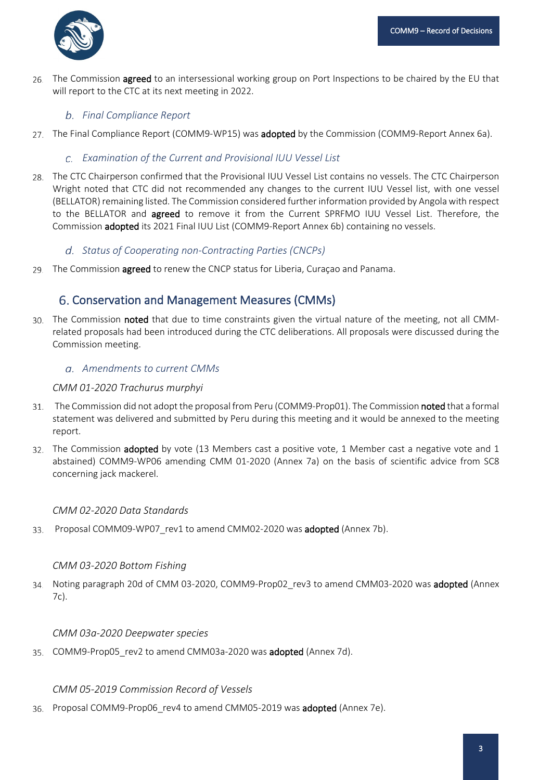

26. The Commission agreed to an intersessional working group on Port Inspections to be chaired by the EU that will report to the CTC at its next meeting in 2022.

## *Final Compliance Report*

27. The Final Compliance Report (COMM9-WP15) was adopted by the Commission (COMM9-Report Annex 6a).

## *Examination of the Current and Provisional IUU Vessel List*

28. The CTC Chairperson confirmed that the Provisional IUU Vessel List contains no vessels. The CTC Chairperson Wright noted that CTC did not recommended any changes to the current IUU Vessel list, with one vessel (BELLATOR) remaining listed. The Commission considered further information provided by Angola with respect to the BELLATOR and **agreed** to remove it from the Current SPRFMO IUU Vessel List. Therefore, the Commission adopted its 2021 Final IUU List (COMM9-Report Annex 6b) containing no vessels.

## *Status of Cooperating non-Contracting Parties (CNCPs)*

29. The Commission **agreed** to renew the CNCP status for Liberia, Curacao and Panama.

## Conservation and Management Measures (CMMs)

30. The Commission noted that due to time constraints given the virtual nature of the meeting, not all CMMrelated proposals had been introduced during the CTC deliberations. All proposals were discussed during the Commission meeting.

## *Amendments to current CMMs*

#### *CMM 01-2020 Trachurus murphyi*

- The Commission did not adopt the proposal from Peru (COMM9-Prop01). The Commission noted that a formal  $31$ statement was delivered and submitted by Peru during this meeting and it would be annexed to the meeting report.
- 32. The Commission adopted by vote (13 Members cast a positive vote, 1 Member cast a negative vote and 1 abstained) COMM9-WP06 amending CMM 01-2020 (Annex 7a) on the basis of scientific advice from SC8 concerning jack mackerel.

## *CMM 02-2020 Data Standards*

Proposal COMM09-WP07 rev1 to amend CMM02-2020 was adopted (Annex 7b). 33.

## *CMM 03-2020 Bottom Fishing*

34. Noting paragraph 20d of CMM 03-2020, COMM9-Prop02\_rev3 to amend CMM03-2020 was adopted (Annex 7c).

#### *CMM 03a-2020 Deepwater species*

35. COMM9-Prop05 rev2 to amend CMM03a-2020 was adopted (Annex 7d).

#### *CMM 05-2019 Commission Record of Vessels*

36. Proposal COMM9-Prop06 rev4 to amend CMM05-2019 was adopted (Annex 7e).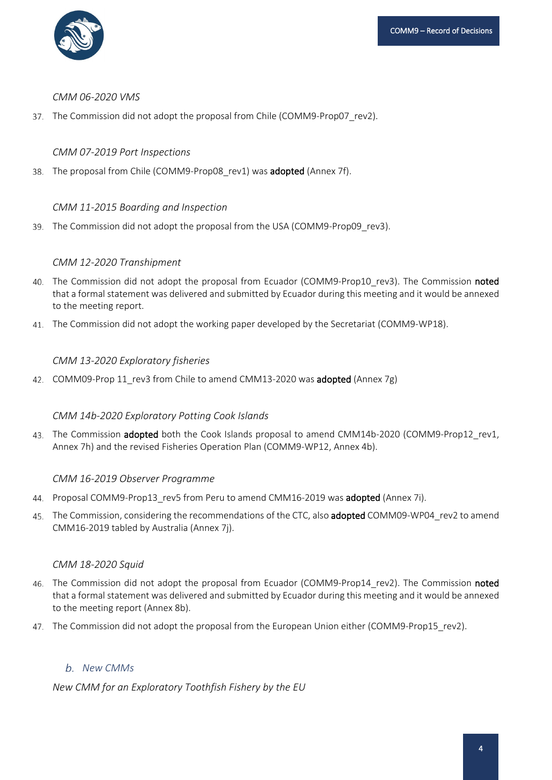

#### *CMM 06-2020 VMS*

37. The Commission did not adopt the proposal from Chile (COMM9-Prop07\_rev2).

#### *CMM 07-2019 Port Inspections*

38. The proposal from Chile (COMM9-Prop08 rev1) was **adopted** (Annex 7f).

#### *CMM 11-2015 Boarding and Inspection*

39. The Commission did not adopt the proposal from the USA (COMM9-Prop09\_rev3).

#### *CMM 12-2020 Transhipment*

- 40. The Commission did not adopt the proposal from Ecuador (COMM9-Prop10\_rev3). The Commission noted that a formal statement was delivered and submitted by Ecuador during this meeting and it would be annexed to the meeting report.
- The Commission did not adopt the working paper developed by the Secretariat (COMM9-WP18).

#### *CMM 13-2020 Exploratory fisheries*

42. COMM09-Prop 11\_rev3 from Chile to amend CMM13-2020 was adopted (Annex 7g)

## *CMM 14b-2020 Exploratory Potting Cook Islands*

43. The Commission adopted both the Cook Islands proposal to amend CMM14b-2020 (COMM9-Prop12 rev1, Annex 7h) and the revised Fisheries Operation Plan (COMM9-WP12, Annex 4b).

#### *CMM 16-2019 Observer Programme*

- 44. Proposal COMM9-Prop13 rev5 from Peru to amend CMM16-2019 was adopted (Annex 7i).
- 45. The Commission, considering the recommendations of the CTC, also **adopted** COMM09-WP04 rev2 to amend CMM16-2019 tabled by Australia (Annex 7j).

#### *CMM 18-2020 Squid*

- 46. The Commission did not adopt the proposal from Ecuador (COMM9-Prop14 rev2). The Commission noted that a formal statement was delivered and submitted by Ecuador during this meeting and it would be annexed to the meeting report (Annex 8b).
- The Commission did not adopt the proposal from the European Union either (COMM9-Prop15\_rev2).

## *New CMMs*

*New CMM for an Exploratory Toothfish Fishery by the EU*